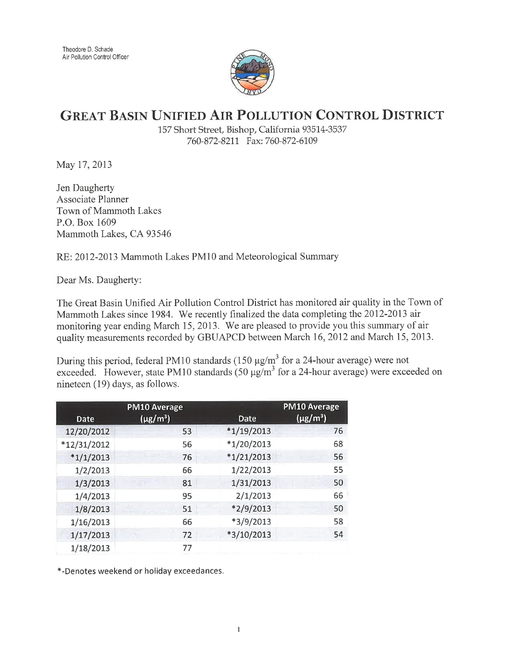

## GREAT BASIN UNIFIED AIR POLLUTION CONTROL DISTRICT

157 Short Street, Bishop, California 935L4-3537 760-872-8211 Fax: 760-872-6109

May 17, 2013

Jen Daugherty Associate Planner Town of Mammoth Lakes P.O. Box 1609 Mammoth Lakes, CA93546

RE:2012-2013 Mammoth Lakes PMl0 and Meteorological Summary

Dear Ms. Daugherty:

The Great Basin Unified Air Pollution Control District has monitored air quality in the Town of Mammoth Lakes since 1984. We recently finalized the data completing the 2012-2013 air monitoring year ending March 15,2013. We are pleased to provide you this summary of air quality measurements recorded by GBUAPCD between March 16,2012 and March 15,2013.

During this period, federal PM10 standards (150  $\mu$ g/m<sup>3</sup> for a 24-hour average) were not exceeded. However, state PM10 standards (50  $\mu$ g/m<sup>3</sup> for a 24-hour average) were exceeded on nineteen (19) days, as follows.

|               | <b>PM10 Average</b> |              | <b>PM10 Average</b>       |
|---------------|---------------------|--------------|---------------------------|
| Date          | $(\mu g/m^3)$       | Date         | $(\mu$ g/m <sup>3</sup> ) |
| 12/20/2012    | 53                  | $*1/19/2013$ | 76                        |
| $*12/31/2012$ | 56                  | $*1/20/2013$ | 68                        |
| $*1/1/2013$   | 76                  | $*1/21/2013$ | 56                        |
| 1/2/2013      | 66                  | 1/22/2013    | 55                        |
| 1/3/2013      | 81                  | 1/31/2013    | 50                        |
| 1/4/2013      | 95                  | 2/1/2013     | 66                        |
| 1/8/2013      | 51                  | $*2/9/2013$  | 50                        |
| 1/16/2013     | 66                  | $*3/9/2013$  | 58                        |
| 1/17/2013     | 72                  | $*3/10/2013$ | 54                        |
| 1/18/2013     | 77                  |              |                           |

\*-Denotes weekend or holiday exceedances.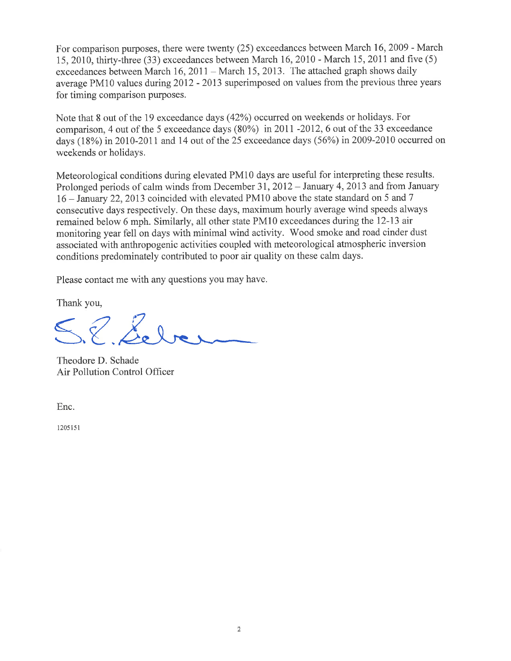For comparison purposes, there were twenty (25) exceedances between March 16,2009 - March 15,2010, thirty-three (33) exceedances between March 16,2070 - March I5,20I1 and frve (5) exceedances between March 16, 2011 - March 15, 2013. The attached graph shows daily average PMl0 values during 2012 - 2013 superimposed on values from the previous three years for timing comparison purposes.

Note that 8 out of the 19 exceedance days (42%) occurred on weekends or holidays. For comparison, 4 out of the 5 exceedance days  $(80\%)$  in 2011 -2012, 6 out of the 33 exceedance days (18%) in2010-2011 and 14 out of the 25 exceedance days (56%) in2009-2010 occurred on weekends or holidays.

Meteorological conditions during elevated PM10 days are useful for interpreting these results. Prolonged periods of calm winds from December 31, 2012 – January 4, 2013 and from January <sup>16</sup>- January 22,2013 coincided with elevated PMl0 above the state standard on 5 and <sup>7</sup> consecutive days respectively. On these days, maximum hourly average wind speeds always remained below 6 mph. Similarly, all other state PM10 exceedances during the 12-13 air monitoring year fell on days with minimal wind activity. Wood smoke and road cinder dust associated with anthropogenic activities coupled with meteorological atmospheric inversion conditions predominately contributed to poor air quality on these calm days.

Please contact me with any questions you may have.

Thank you,

S. E. Lebe

Theodore D. Schade Air Pollution Control Officer

Enc.

1205 15 I